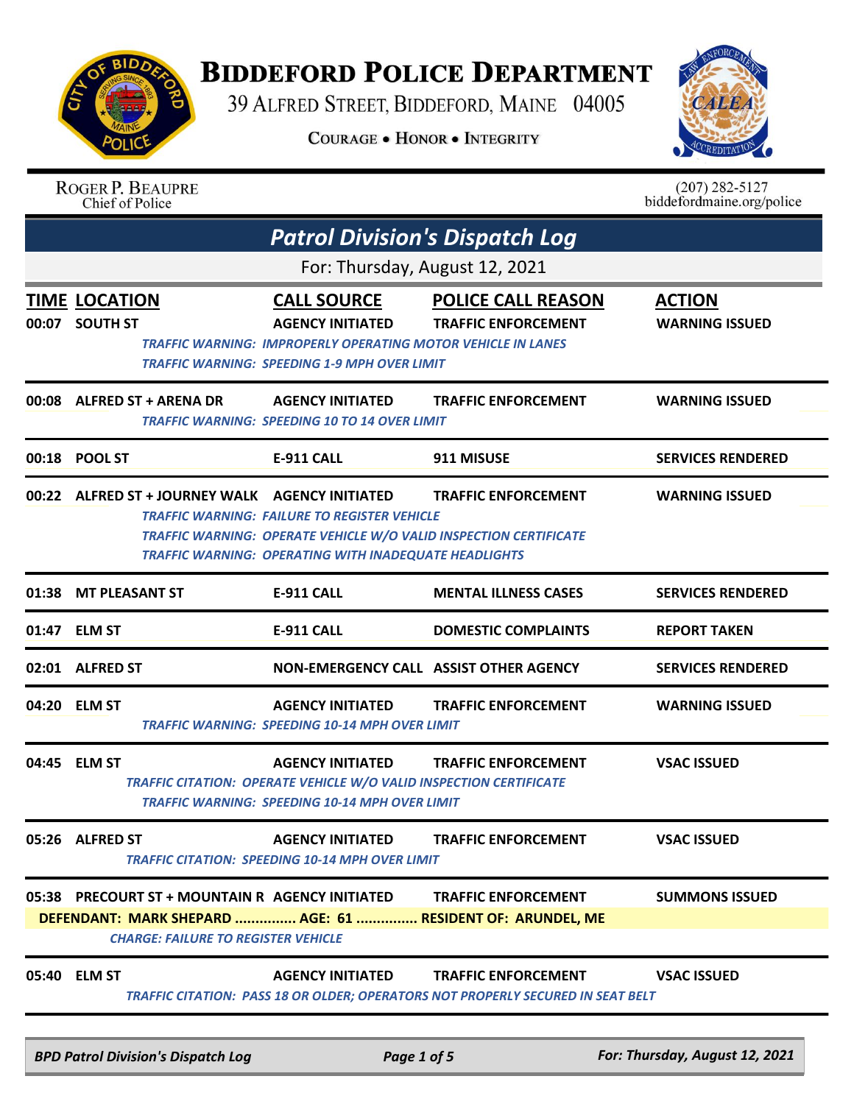

## **BIDDEFORD POLICE DEPARTMENT**

39 ALFRED STREET, BIDDEFORD, MAINE 04005

**COURAGE . HONOR . INTEGRITY** 



|       | <b>ROGER P. BEAUPRE</b><br>Chief of Police                                                                                                                   |                                                                                                                                                                                                                     |                                                                                                                      | $(207)$ 282-5127<br>biddefordmaine.org/police |
|-------|--------------------------------------------------------------------------------------------------------------------------------------------------------------|---------------------------------------------------------------------------------------------------------------------------------------------------------------------------------------------------------------------|----------------------------------------------------------------------------------------------------------------------|-----------------------------------------------|
|       |                                                                                                                                                              | <b>Patrol Division's Dispatch Log</b>                                                                                                                                                                               |                                                                                                                      |                                               |
|       |                                                                                                                                                              | For: Thursday, August 12, 2021                                                                                                                                                                                      |                                                                                                                      |                                               |
| 00:07 | <b>TIME LOCATION</b><br><b>SOUTH ST</b>                                                                                                                      | <b>CALL SOURCE</b><br><b>AGENCY INITIATED</b><br><b>TRAFFIC WARNING: IMPROPERLY OPERATING MOTOR VEHICLE IN LANES</b><br>TRAFFIC WARNING: SPEEDING 1-9 MPH OVER LIMIT                                                | <b>POLICE CALL REASON</b><br><b>TRAFFIC ENFORCEMENT</b>                                                              | <b>ACTION</b><br><b>WARNING ISSUED</b>        |
| 00:08 | <b>ALFRED ST + ARENA DR</b>                                                                                                                                  | <b>AGENCY INITIATED</b><br>TRAFFIC WARNING: SPEEDING 10 TO 14 OVER LIMIT                                                                                                                                            | <b>TRAFFIC ENFORCEMENT</b>                                                                                           | <b>WARNING ISSUED</b>                         |
| 00:18 | <b>POOL ST</b>                                                                                                                                               | <b>E-911 CALL</b>                                                                                                                                                                                                   | 911 MISUSE                                                                                                           | <b>SERVICES RENDERED</b>                      |
| 00:22 | <b>ALFRED ST + JOURNEY WALK</b>                                                                                                                              | <b>AGENCY INITIATED</b><br><b>TRAFFIC WARNING: FAILURE TO REGISTER VEHICLE</b><br>TRAFFIC WARNING: OPERATE VEHICLE W/O VALID INSPECTION CERTIFICATE<br><b>TRAFFIC WARNING: OPERATING WITH INADEQUATE HEADLIGHTS</b> | <b>TRAFFIC ENFORCEMENT</b>                                                                                           | <b>WARNING ISSUED</b>                         |
| 01:38 | <b>MT PLEASANT ST</b>                                                                                                                                        | <b>E-911 CALL</b>                                                                                                                                                                                                   | <b>MENTAL ILLNESS CASES</b>                                                                                          | <b>SERVICES RENDERED</b>                      |
| 01:47 | <b>ELM ST</b>                                                                                                                                                | <b>E-911 CALL</b>                                                                                                                                                                                                   | <b>DOMESTIC COMPLAINTS</b>                                                                                           | <b>REPORT TAKEN</b>                           |
|       | 02:01 ALFRED ST                                                                                                                                              |                                                                                                                                                                                                                     | NON-EMERGENCY CALL ASSIST OTHER AGENCY                                                                               | <b>SERVICES RENDERED</b>                      |
| 04:20 | <b>ELM ST</b>                                                                                                                                                | <b>AGENCY INITIATED</b><br><b>TRAFFIC WARNING: SPEEDING 10-14 MPH OVER LIMIT</b>                                                                                                                                    | <b>TRAFFIC ENFORCEMENT</b>                                                                                           | <b>WARNING ISSUED</b>                         |
| 04:45 | <b>ELM ST</b>                                                                                                                                                | <b>AGENCY INITIATED</b><br>TRAFFIC CITATION: OPERATE VEHICLE W/O VALID INSPECTION CERTIFICATE<br>TRAFFIC WARNING: SPEEDING 10-14 MPH OVER LIMIT                                                                     | <b>TRAFFIC ENFORCEMENT</b>                                                                                           | <b>VSAC ISSUED</b>                            |
|       | 05:26 ALFRED ST                                                                                                                                              | <b>AGENCY INITIATED</b><br><b>TRAFFIC CITATION: SPEEDING 10-14 MPH OVER LIMIT</b>                                                                                                                                   | <b>TRAFFIC ENFORCEMENT</b>                                                                                           | <b>VSAC ISSUED</b>                            |
| 05:38 | <b>PRECOURT ST + MOUNTAIN R AGENCY INITIATED</b><br>DEFENDANT: MARK SHEPARD  AGE: 61  RESIDENT OF: ARUNDEL, ME<br><b>CHARGE: FAILURE TO REGISTER VEHICLE</b> |                                                                                                                                                                                                                     | <b>TRAFFIC ENFORCEMENT</b>                                                                                           | <b>SUMMONS ISSUED</b>                         |
|       | 05:40 ELM ST                                                                                                                                                 | <b>AGENCY INITIATED</b>                                                                                                                                                                                             | <b>TRAFFIC ENFORCEMENT</b><br><b>TRAFFIC CITATION: PASS 18 OR OLDER; OPERATORS NOT PROPERLY SECURED IN SEAT BELT</b> | <b>VSAC ISSUED</b>                            |
|       | <b>BPD Patrol Division's Dispatch Log</b>                                                                                                                    | Page 1 of 5                                                                                                                                                                                                         |                                                                                                                      | For: Thursday, August 12, 2021                |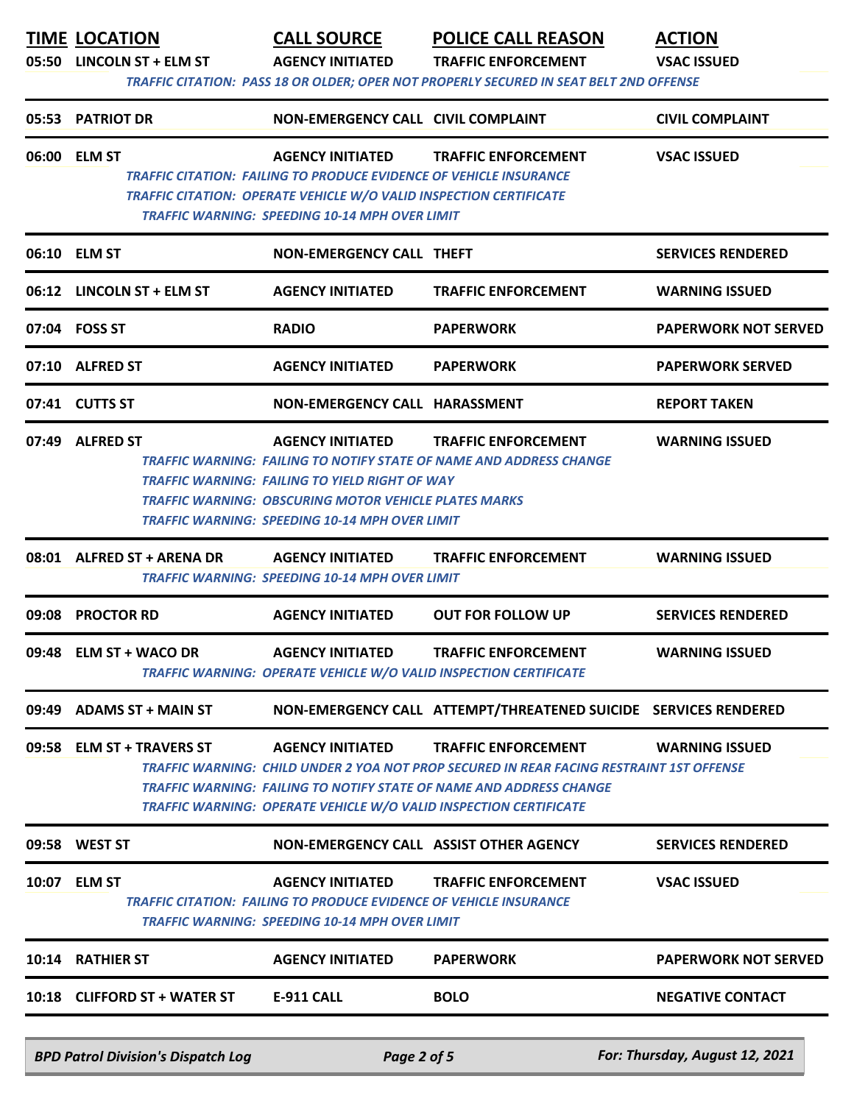|       | <b>TIME LOCATION</b>                      | <b>CALL SOURCE</b>                                                        | <b>POLICE CALL REASON</b>                                                                | <b>ACTION</b>                  |
|-------|-------------------------------------------|---------------------------------------------------------------------------|------------------------------------------------------------------------------------------|--------------------------------|
|       | 05:50 LINCOLN ST + ELM ST                 | <b>AGENCY INITIATED</b>                                                   | <b>TRAFFIC ENFORCEMENT</b>                                                               | <b>VSAC ISSUED</b>             |
|       |                                           |                                                                           | TRAFFIC CITATION: PASS 18 OR OLDER; OPER NOT PROPERLY SECURED IN SEAT BELT 2ND OFFENSE   |                                |
|       | 05:53 PATRIOT DR                          | NON-EMERGENCY CALL CIVIL COMPLAINT                                        |                                                                                          | <b>CIVIL COMPLAINT</b>         |
|       | 06:00 ELM ST                              | <b>AGENCY INITIATED</b>                                                   | <b>TRAFFIC ENFORCEMENT</b>                                                               | <b>VSAC ISSUED</b>             |
|       |                                           | <b>TRAFFIC CITATION: FAILING TO PRODUCE EVIDENCE OF VEHICLE INSURANCE</b> |                                                                                          |                                |
|       |                                           | TRAFFIC CITATION: OPERATE VEHICLE W/O VALID INSPECTION CERTIFICATE        |                                                                                          |                                |
|       |                                           | <b>TRAFFIC WARNING: SPEEDING 10-14 MPH OVER LIMIT</b>                     |                                                                                          |                                |
|       | 06:10 ELM ST                              | NON-EMERGENCY CALL THEFT                                                  |                                                                                          | <b>SERVICES RENDERED</b>       |
|       | 06:12 LINCOLN ST + ELM ST                 | <b>AGENCY INITIATED</b>                                                   | <b>TRAFFIC ENFORCEMENT</b>                                                               | <b>WARNING ISSUED</b>          |
|       | 07:04 FOSS ST                             | <b>RADIO</b>                                                              | <b>PAPERWORK</b>                                                                         | <b>PAPERWORK NOT SERVED</b>    |
|       | 07:10 ALFRED ST                           | <b>AGENCY INITIATED</b>                                                   | <b>PAPERWORK</b>                                                                         | <b>PAPERWORK SERVED</b>        |
|       | 07:41 CUTTS ST                            | <b>NON-EMERGENCY CALL HARASSMENT</b>                                      |                                                                                          | <b>REPORT TAKEN</b>            |
|       | 07:49 ALFRED ST                           | <b>AGENCY INITIATED</b>                                                   | <b>TRAFFIC ENFORCEMENT</b>                                                               | <b>WARNING ISSUED</b>          |
|       |                                           |                                                                           | TRAFFIC WARNING: FAILING TO NOTIFY STATE OF NAME AND ADDRESS CHANGE                      |                                |
|       |                                           | TRAFFIC WARNING: FAILING TO YIELD RIGHT OF WAY                            |                                                                                          |                                |
|       |                                           | <b>TRAFFIC WARNING: OBSCURING MOTOR VEHICLE PLATES MARKS</b>              |                                                                                          |                                |
|       |                                           | TRAFFIC WARNING: SPEEDING 10-14 MPH OVER LIMIT                            |                                                                                          |                                |
|       | 08:01 ALFRED ST + ARENA DR                | <b>AGENCY INITIATED</b>                                                   | <b>TRAFFIC ENFORCEMENT</b>                                                               | <b>WARNING ISSUED</b>          |
|       |                                           | TRAFFIC WARNING: SPEEDING 10-14 MPH OVER LIMIT                            |                                                                                          |                                |
| 09:08 | <b>PROCTOR RD</b>                         | <b>AGENCY INITIATED</b>                                                   | <b>OUT FOR FOLLOW UP</b>                                                                 | <b>SERVICES RENDERED</b>       |
|       | 09:48 ELM ST + WACO DR                    | <b>AGENCY INITIATED</b>                                                   | <b>TRAFFIC ENFORCEMENT</b>                                                               | <b>WARNING ISSUED</b>          |
|       |                                           | <b>TRAFFIC WARNING: OPERATE VEHICLE W/O VALID INSPECTION CERTIFICATE</b>  |                                                                                          |                                |
|       | 09:49 ADAMS ST + MAIN ST                  |                                                                           | NON-EMERGENCY CALL ATTEMPT/THREATENED SUICIDE SERVICES RENDERED                          |                                |
|       | 09:58 ELM ST + TRAVERS ST                 | <b>AGENCY INITIATED</b>                                                   | <b>TRAFFIC ENFORCEMENT</b>                                                               | <b>WARNING ISSUED</b>          |
|       |                                           |                                                                           | TRAFFIC WARNING: CHILD UNDER 2 YOA NOT PROP SECURED IN REAR FACING RESTRAINT 1ST OFFENSE |                                |
|       |                                           |                                                                           | TRAFFIC WARNING: FAILING TO NOTIFY STATE OF NAME AND ADDRESS CHANGE                      |                                |
|       |                                           | TRAFFIC WARNING: OPERATE VEHICLE W/O VALID INSPECTION CERTIFICATE         |                                                                                          |                                |
|       | 09:58 WEST ST                             |                                                                           | NON-EMERGENCY CALL ASSIST OTHER AGENCY                                                   | <b>SERVICES RENDERED</b>       |
|       | 10:07 ELM ST                              | <b>AGENCY INITIATED</b>                                                   | <b>TRAFFIC ENFORCEMENT</b>                                                               | <b>VSAC ISSUED</b>             |
|       |                                           | <b>TRAFFIC CITATION: FAILING TO PRODUCE EVIDENCE OF VEHICLE INSURANCE</b> |                                                                                          |                                |
|       |                                           | <b>TRAFFIC WARNING: SPEEDING 10-14 MPH OVER LIMIT</b>                     |                                                                                          |                                |
| 10:14 | <b>RATHIER ST</b>                         | <b>AGENCY INITIATED</b>                                                   | <b>PAPERWORK</b>                                                                         | <b>PAPERWORK NOT SERVED</b>    |
|       | 10:18 CLIFFORD ST + WATER ST              | <b>E-911 CALL</b>                                                         | <b>BOLO</b>                                                                              | <b>NEGATIVE CONTACT</b>        |
|       |                                           |                                                                           |                                                                                          |                                |
|       | <b>BPD Patrol Division's Dispatch Log</b> | Page 2 of 5                                                               |                                                                                          | For: Thursday, August 12, 2021 |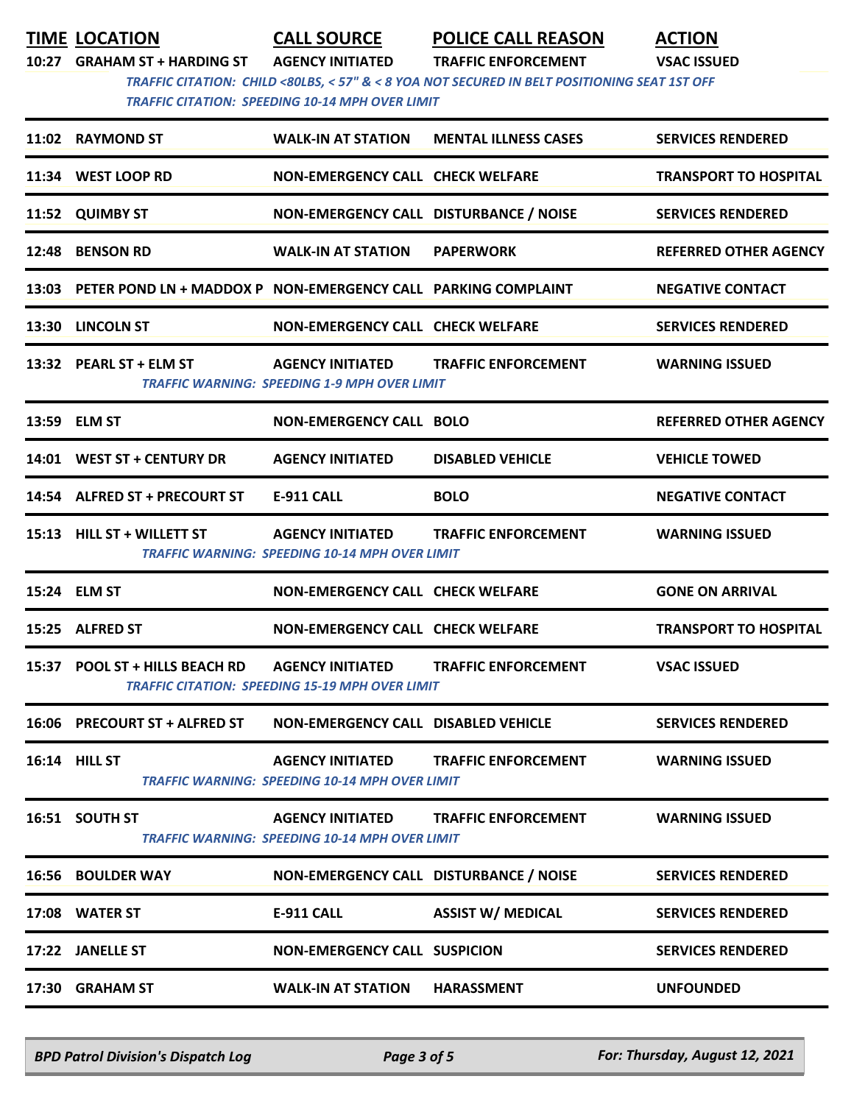**TIME LOCATION CALL SOURCE POLICE CALL REASON ACTION**

**10:27 GRAHAM ST + HARDING ST AGENCY INITIATED TRAFFIC ENFORCEMENT VSAC ISSUED**

 *TRAFFIC CITATION: CHILD <80LBS, < 57" & < 8 YOA NOT SECURED IN BELT POSITIONING SEAT 1ST OFF* 

 *TRAFFIC CITATION: SPEEDING 10-14 MPH OVER LIMIT* 

| 11:02 RAYMOND ST                                                    | <b>WALK-IN AT STATION</b>                                                        | <b>MENTAL ILLNESS CASES</b> | <b>SERVICES RENDERED</b>     |
|---------------------------------------------------------------------|----------------------------------------------------------------------------------|-----------------------------|------------------------------|
| 11:34 WEST LOOP RD                                                  | NON-EMERGENCY CALL CHECK WELFARE                                                 |                             | <b>TRANSPORT TO HOSPITAL</b> |
| 11:52 QUIMBY ST                                                     | NON-EMERGENCY CALL DISTURBANCE / NOISE                                           |                             | <b>SERVICES RENDERED</b>     |
| 12:48 BENSON RD                                                     | <b>WALK-IN AT STATION</b>                                                        | <b>PAPERWORK</b>            | <b>REFERRED OTHER AGENCY</b> |
| 13:03 PETER POND LN + MADDOX P NON-EMERGENCY CALL PARKING COMPLAINT |                                                                                  |                             | <b>NEGATIVE CONTACT</b>      |
| 13:30 LINCOLN ST                                                    | NON-EMERGENCY CALL CHECK WELFARE                                                 |                             | <b>SERVICES RENDERED</b>     |
| 13:32 PEARL ST + ELM ST                                             | <b>AGENCY INITIATED</b><br>TRAFFIC WARNING: SPEEDING 1-9 MPH OVER LIMIT          | <b>TRAFFIC ENFORCEMENT</b>  | <b>WARNING ISSUED</b>        |
| 13:59 ELM ST                                                        | <b>NON-EMERGENCY CALL BOLO</b>                                                   |                             | <b>REFERRED OTHER AGENCY</b> |
| 14:01 WEST ST + CENTURY DR                                          | <b>AGENCY INITIATED</b>                                                          | <b>DISABLED VEHICLE</b>     | <b>VEHICLE TOWED</b>         |
| 14:54 ALFRED ST + PRECOURT ST                                       | <b>E-911 CALL</b>                                                                | <b>BOLO</b>                 | <b>NEGATIVE CONTACT</b>      |
| 15:13 HILL ST + WILLETT ST                                          | AGENCY INITIATED<br>TRAFFIC WARNING: SPEEDING 10-14 MPH OVER LIMIT               | <b>TRAFFIC ENFORCEMENT</b>  | <b>WARNING ISSUED</b>        |
| 15:24 ELM ST                                                        | <b>NON-EMERGENCY CALL CHECK WELFARE</b>                                          |                             | <b>GONE ON ARRIVAL</b>       |
| 15:25 ALFRED ST                                                     | <b>NON-EMERGENCY CALL CHECK WELFARE</b>                                          |                             | <b>TRANSPORT TO HOSPITAL</b> |
| 15:37 POOL ST + HILLS BEACH RD                                      | <b>AGENCY INITIATED</b><br>TRAFFIC CITATION: SPEEDING 15-19 MPH OVER LIMIT       | <b>TRAFFIC ENFORCEMENT</b>  | <b>VSAC ISSUED</b>           |
| 16:06 PRECOURT ST + ALFRED ST                                       | <b>NON-EMERGENCY CALL DISABLED VEHICLE</b>                                       |                             | <b>SERVICES RENDERED</b>     |
| 16:14 HILL ST                                                       | AGENCY INITIATED<br><b>TRAFFIC WARNING: SPEEDING 10-14 MPH OVER LIMIT</b>        | <b>TRAFFIC ENFORCEMENT</b>  | <b>WARNING ISSUED</b>        |
| 16:51 SOUTH ST                                                      | <b>AGENCY INITIATED</b><br><b>TRAFFIC WARNING: SPEEDING 10-14 MPH OVER LIMIT</b> | <b>TRAFFIC ENFORCEMENT</b>  | <b>WARNING ISSUED</b>        |
| <b>16:56 BOULDER WAY</b>                                            | NON-EMERGENCY CALL DISTURBANCE / NOISE                                           |                             | <b>SERVICES RENDERED</b>     |
| 17:08 WATER ST                                                      | <b>E-911 CALL</b>                                                                | <b>ASSIST W/ MEDICAL</b>    | <b>SERVICES RENDERED</b>     |
| 17:22 JANELLE ST                                                    | <b>NON-EMERGENCY CALL SUSPICION</b>                                              |                             | <b>SERVICES RENDERED</b>     |
|                                                                     |                                                                                  |                             |                              |
| 17:30 GRAHAM ST                                                     | <b>WALK-IN AT STATION</b>                                                        | <b>HARASSMENT</b>           | <b>UNFOUNDED</b>             |

*BPD Patrol Division's Dispatch Log Page 3 of 5 For: Thursday, August 12, 2021*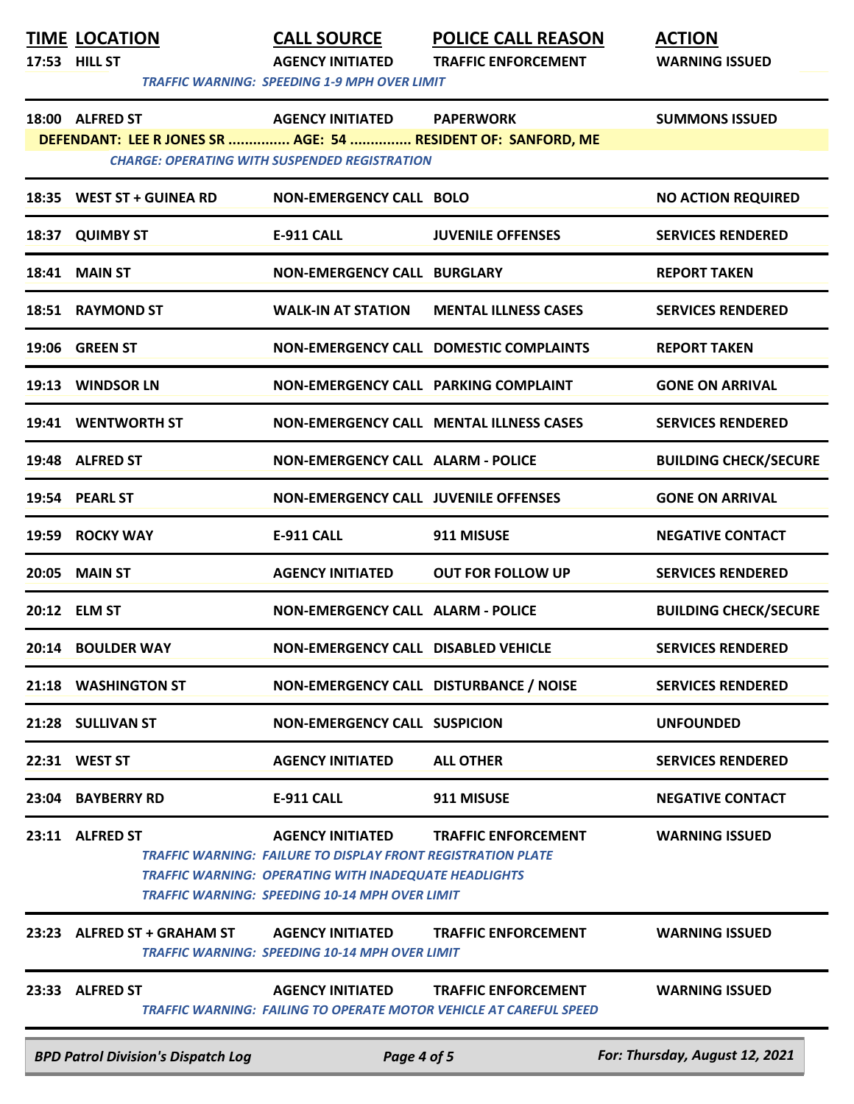**TIME LOCATION CALL SOURCE POLICE CALL REASON ACTION**

**17:53 HILL ST AGENCY INITIATED TRAFFIC ENFORCEMENT WARNING ISSUED**

**DEFENDANT: LEE R JONES SR ............... AGE: 54 ............... RESIDENT OF: SANFORD, ME**

 *TRAFFIC WARNING: SPEEDING 1-9 MPH OVER LIMIT* 

**18:00 ALFRED ST AGENCY INITIATED PAPERWORK SUMMONS ISSUED**

|       | <b>CHARGE: OPERATING WITH SUSPENDED REGISTRATION</b> |                                                                                                                                                                                                                         |                                                |                                |  |
|-------|------------------------------------------------------|-------------------------------------------------------------------------------------------------------------------------------------------------------------------------------------------------------------------------|------------------------------------------------|--------------------------------|--|
|       | 18:35 WEST ST + GUINEA RD                            | <b>NON-EMERGENCY CALL BOLO</b>                                                                                                                                                                                          |                                                | <b>NO ACTION REQUIRED</b>      |  |
|       | 18:37 QUIMBY ST                                      | <b>E-911 CALL</b>                                                                                                                                                                                                       | <b>JUVENILE OFFENSES</b>                       | <b>SERVICES RENDERED</b>       |  |
|       | <b>18:41 MAIN ST</b>                                 | <b>NON-EMERGENCY CALL BURGLARY</b>                                                                                                                                                                                      |                                                | <b>REPORT TAKEN</b>            |  |
|       | 18:51 RAYMOND ST                                     | <b>WALK-IN AT STATION</b>                                                                                                                                                                                               | <b>MENTAL ILLNESS CASES</b>                    | <b>SERVICES RENDERED</b>       |  |
|       | 19:06 GREEN ST                                       |                                                                                                                                                                                                                         | <b>NON-EMERGENCY CALL DOMESTIC COMPLAINTS</b>  | <b>REPORT TAKEN</b>            |  |
|       | 19:13 WINDSOR LN                                     | <b>NON-EMERGENCY CALL PARKING COMPLAINT</b>                                                                                                                                                                             |                                                | <b>GONE ON ARRIVAL</b>         |  |
|       | 19:41 WENTWORTH ST                                   |                                                                                                                                                                                                                         | <b>NON-EMERGENCY CALL MENTAL ILLNESS CASES</b> | <b>SERVICES RENDERED</b>       |  |
|       | 19:48 ALFRED ST                                      | <b>NON-EMERGENCY CALL ALARM - POLICE</b>                                                                                                                                                                                |                                                | <b>BUILDING CHECK/SECURE</b>   |  |
|       | 19:54 PEARL ST                                       | <b>NON-EMERGENCY CALL JUVENILE OFFENSES</b>                                                                                                                                                                             |                                                | <b>GONE ON ARRIVAL</b>         |  |
|       | 19:59 ROCKY WAY                                      | <b>E-911 CALL</b>                                                                                                                                                                                                       | 911 MISUSE                                     | <b>NEGATIVE CONTACT</b>        |  |
|       | 20:05 MAIN ST                                        | <b>AGENCY INITIATED</b>                                                                                                                                                                                                 | <b>OUT FOR FOLLOW UP</b>                       | <b>SERVICES RENDERED</b>       |  |
|       | 20:12 ELM ST                                         | <b>NON-EMERGENCY CALL ALARM - POLICE</b>                                                                                                                                                                                |                                                | <b>BUILDING CHECK/SECURE</b>   |  |
|       | 20:14 BOULDER WAY                                    | <b>NON-EMERGENCY CALL DISABLED VEHICLE</b>                                                                                                                                                                              |                                                | <b>SERVICES RENDERED</b>       |  |
|       | 21:18 WASHINGTON ST                                  | NON-EMERGENCY CALL DISTURBANCE / NOISE                                                                                                                                                                                  |                                                | <b>SERVICES RENDERED</b>       |  |
|       | 21:28 SULLIVAN ST                                    | <b>NON-EMERGENCY CALL SUSPICION</b>                                                                                                                                                                                     |                                                | <b>UNFOUNDED</b>               |  |
|       | 22:31 WEST ST                                        | <b>AGENCY INITIATED</b>                                                                                                                                                                                                 | <b>ALL OTHER</b>                               | <b>SERVICES RENDERED</b>       |  |
| 23:04 | <b>BAYBERRY RD</b>                                   | <b>E-911 CALL</b>                                                                                                                                                                                                       | 911 MISUSE                                     | <b>NEGATIVE CONTACT</b>        |  |
|       | 23:11 ALFRED ST                                      | <b>AGENCY INITIATED</b><br><b>TRAFFIC WARNING: FAILURE TO DISPLAY FRONT REGISTRATION PLATE</b><br><b>TRAFFIC WARNING: OPERATING WITH INADEQUATE HEADLIGHTS</b><br><b>TRAFFIC WARNING: SPEEDING 10-14 MPH OVER LIMIT</b> | <b>TRAFFIC ENFORCEMENT</b>                     | <b>WARNING ISSUED</b>          |  |
|       | 23:23 ALFRED ST + GRAHAM ST                          | <b>AGENCY INITIATED</b><br>TRAFFIC WARNING: SPEEDING 10-14 MPH OVER LIMIT                                                                                                                                               | <b>TRAFFIC ENFORCEMENT</b>                     | <b>WARNING ISSUED</b>          |  |
|       | 23:33 ALFRED ST                                      | <b>AGENCY INITIATED</b><br><b>TRAFFIC WARNING: FAILING TO OPERATE MOTOR VEHICLE AT CAREFUL SPEED</b>                                                                                                                    | <b>TRAFFIC ENFORCEMENT</b>                     | <b>WARNING ISSUED</b>          |  |
|       | <b>BPD Patrol Division's Dispatch Log</b>            | Page 4 of 5                                                                                                                                                                                                             |                                                | For: Thursday, August 12, 2021 |  |